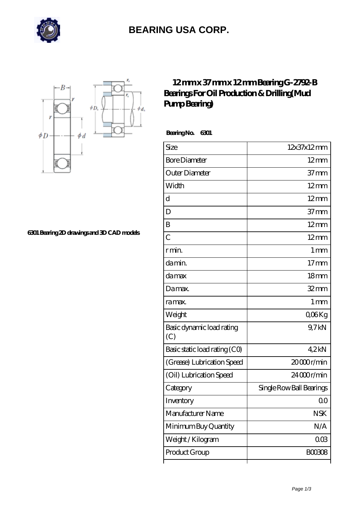

## **[BEARING USA CORP.](https://m.hathaykhongbanghayhat.org)**



**[6301 Bearing 2D drawings and 3D CAD models](https://m.hathaykhongbanghayhat.org/pic-676288.html)**

## **[12 mm x 37 mm x 12 mm Bearing G-2792-B](https://m.hathaykhongbanghayhat.org/aI-676288-bearing-g-2792-b-bearings-for-oil-production-drilling-mud-pump-bearing.html) [Bearings For Oil Production & Drilling\(Mud](https://m.hathaykhongbanghayhat.org/aI-676288-bearing-g-2792-b-bearings-for-oil-production-drilling-mud-pump-bearing.html) [Pump Bearing\)](https://m.hathaykhongbanghayhat.org/aI-676288-bearing-g-2792-b-bearings-for-oil-production-drilling-mud-pump-bearing.html)**

 **Bearing No. 6301**

| Size                             | 12x37x12mm               |
|----------------------------------|--------------------------|
| <b>Bore Diameter</b>             | $12 \text{mm}$           |
| Outer Diameter                   | 37 <sub>mm</sub>         |
| Width                            | $12 \text{mm}$           |
| d                                | $12 \text{mm}$           |
| D                                | 37 <sub>mm</sub>         |
| B                                | $12 \text{mm}$           |
| $\overline{C}$                   | $12 \text{mm}$           |
| r min.                           | 1 <sub>mm</sub>          |
| da min.                          | $17$ mm                  |
| damax                            | 18 <sub>mm</sub>         |
| Damax.                           | $32$ mm                  |
| ra max.                          | 1 <sub>mm</sub>          |
| Weight                           | QO <sub>6</sub> Kg       |
| Basic dynamic load rating<br>(C) | 9,7kN                    |
| Basic static load rating (CO)    | 4.2kN                    |
| (Grease) Lubrication Speed       | 20000r/min               |
| (Oil) Lubrication Speed          | $2400$ r/min             |
| Category                         | Single Row Ball Bearings |
| Inventory                        | Q0                       |
| Manufacturer Name                | <b>NSK</b>               |
| Minimum Buy Quantity             | N/A                      |
| Weight / Kilogram                | $00\%$                   |
| Product Group                    | BOO3O8                   |
|                                  |                          |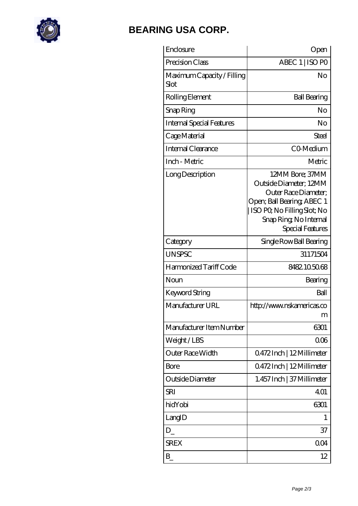

## **[BEARING USA CORP.](https://m.hathaykhongbanghayhat.org)**

| Enclosure                          | Open                                                                                                                                                                        |
|------------------------------------|-----------------------------------------------------------------------------------------------------------------------------------------------------------------------------|
| Precision Class                    | ABEC 1   ISO PO                                                                                                                                                             |
| Maximum Capacity / Filling<br>Slot | No                                                                                                                                                                          |
| Rolling Element                    | <b>Ball Bearing</b>                                                                                                                                                         |
| Snap Ring                          | No                                                                                                                                                                          |
| <b>Internal Special Features</b>   | No                                                                                                                                                                          |
| Cage Material                      | Steel                                                                                                                                                                       |
| Internal Clearance                 | CO-Medium                                                                                                                                                                   |
| Inch - Metric                      | Metric                                                                                                                                                                      |
| Long Description                   | 12MM Bore; 37MM<br>Outside Diameter; 12MM<br>Outer Race Diameter;<br>Open; Ball Bearing; ABEC 1<br>ISO PQ No Filling Slot; No<br>Snap Ring, No Internal<br>Special Features |
| Category                           | Single Row Ball Bearing                                                                                                                                                     |
| <b>UNSPSC</b>                      | 31171504                                                                                                                                                                    |
| Harmonized Tariff Code             | 8482105068                                                                                                                                                                  |
| Noun                               | Bearing                                                                                                                                                                     |
| Keyword String                     | Ball                                                                                                                                                                        |
| Manufacturer URL                   | http://www.nskamericas.co<br>m                                                                                                                                              |
| Manufacturer Item Number           | 6301                                                                                                                                                                        |
| Weight/LBS                         | 006                                                                                                                                                                         |
| Outer Race Width                   | Q472Inch   12Millimeter                                                                                                                                                     |
| Bore                               | 0.472Inch   12Millimeter                                                                                                                                                    |
| Outside Diameter                   | 1.457 Inch   37 Millimeter                                                                                                                                                  |
| <b>SRI</b>                         | 401                                                                                                                                                                         |
| hidYobi                            | 6301                                                                                                                                                                        |
| LangID                             | 1                                                                                                                                                                           |
| $D_{-}$                            | 37                                                                                                                                                                          |
| <b>SREX</b>                        | 004                                                                                                                                                                         |
| $B_{-}$                            | 12                                                                                                                                                                          |